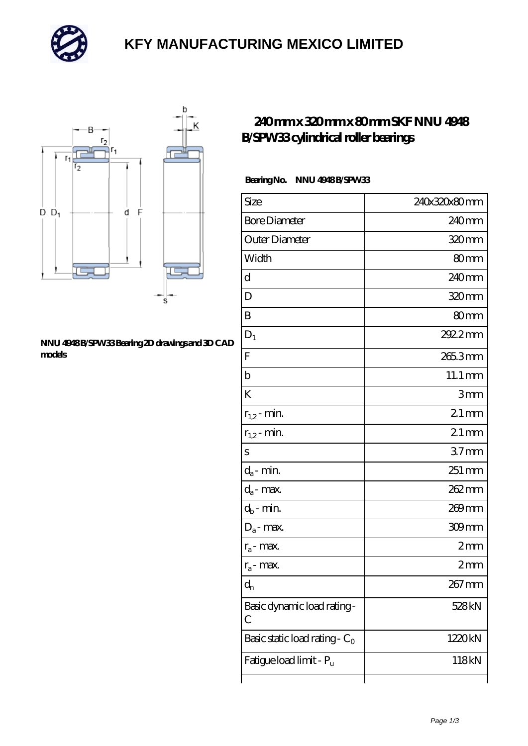

# **[KFY MANUFACTURING MEXICO LIMITED](https://m.mailemotion.tv)**



#### **[NNU 4948 B/SPW33 Bearing 2D drawings and 3D CAD](https://m.mailemotion.tv/pic-409665.html) [models](https://m.mailemotion.tv/pic-409665.html)**

### **[240 mm x 320 mm x 80 mm SKF NNU 4948](https://m.mailemotion.tv/bz-409665-skf-nnu-4948-b-spw33-cylindrical-roller-bearings.html) [B/SPW33 cylindrical roller bearings](https://m.mailemotion.tv/bz-409665-skf-nnu-4948-b-spw33-cylindrical-roller-bearings.html)**

### Bearing No. NNU 4948 B/SPW33

| Size                             | 240x320x80mm      |
|----------------------------------|-------------------|
| <b>Bore Diameter</b>             | 240 <sub>mm</sub> |
| Outer Diameter                   | 320 <sub>mm</sub> |
| Width                            | 80mm              |
| d                                | 240 <sub>mm</sub> |
| D                                | 320mm             |
| B                                | 80mm              |
| $D_1$                            | 292.2mm           |
| $\overline{F}$                   | 265.3mm           |
| $\mathbf b$                      | $11.1 \text{mm}$  |
| K                                | 3mm               |
| $r_{1,2}$ - min.                 | $21$ mm           |
| $r_{1,2}$ - min.                 | $21$ mm           |
| S                                | 37 <sub>mm</sub>  |
| $d_a$ - min.                     | 251 mm            |
| $d_a$ - max.                     | 262 mm            |
| $d_b\operatorname{-} \min$       | 269 <sub>mm</sub> |
| $D_a$ - max.                     | 309mm             |
| $r_a$ - max.                     | 2mm               |
| $r_a$ - max.                     | 2 <sub>mm</sub>   |
| $d_{n}$                          | 267 mm            |
| Basic dynamic load rating-<br>С  | 528 <sub>kN</sub> |
| Basic static load rating - $C_0$ | 1220kN            |
| Fatigue load limit - Pu          | 118kN             |
|                                  |                   |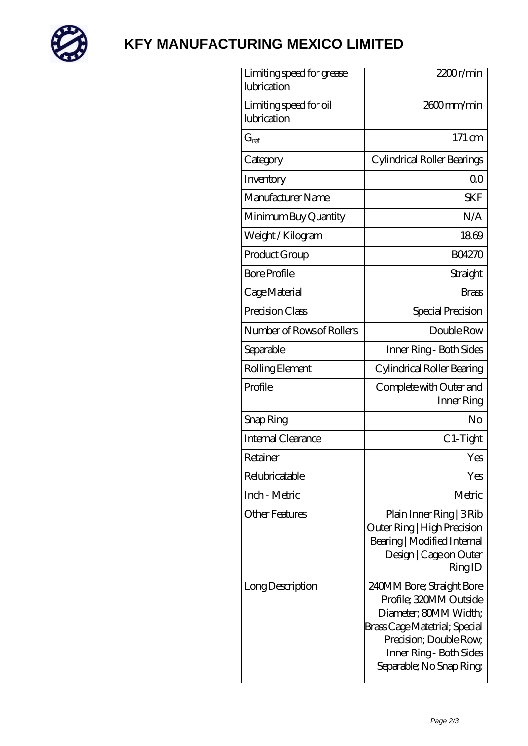

# **[KFY MANUFACTURING MEXICO LIMITED](https://m.mailemotion.tv)**

| Limiting speed for grease<br>lubrication | 2200r/min                                                                                                                                                                                      |
|------------------------------------------|------------------------------------------------------------------------------------------------------------------------------------------------------------------------------------------------|
| Limiting speed for oil<br>lubrication    | 2600mm/min                                                                                                                                                                                     |
| $G_{ref}$                                | $171 \text{ cm}$                                                                                                                                                                               |
| Category                                 | Cylindrical Roller Bearings                                                                                                                                                                    |
| Inventory                                | Q0                                                                                                                                                                                             |
| Manufacturer Name                        | <b>SKF</b>                                                                                                                                                                                     |
| Minimum Buy Quantity                     | N/A                                                                                                                                                                                            |
| Weight / Kilogram                        | 1869                                                                                                                                                                                           |
| Product Group                            | <b>BO4270</b>                                                                                                                                                                                  |
| <b>Bore Profile</b>                      | Straight                                                                                                                                                                                       |
| Cage Material                            | <b>Brass</b>                                                                                                                                                                                   |
| Precision Class                          | Special Precision                                                                                                                                                                              |
| Number of Rows of Rollers                | Double Row                                                                                                                                                                                     |
| Separable                                | Inner Ring - Both Sides                                                                                                                                                                        |
| Rolling Element                          | Cylindrical Roller Bearing                                                                                                                                                                     |
| Profile                                  | Complete with Outer and<br>Inner Ring                                                                                                                                                          |
| Snap Ring                                | No                                                                                                                                                                                             |
| Internal Clearance                       | C <sub>1</sub> -Tight                                                                                                                                                                          |
| Retainer                                 | Yes                                                                                                                                                                                            |
| Relubricatable                           | Yes                                                                                                                                                                                            |
| Inch - Metric                            | Metric                                                                                                                                                                                         |
| <b>Other Features</b>                    | Plain Inner Ring   3 Rib<br>Outer Ring   High Precision<br>Bearing   Modified Internal<br>Design   Cage on Outer<br>RingID                                                                     |
| Long Description                         | 240MM Bore; Straight Bore<br>Profile; 320MM Outside<br>Diameter, 80MM Width;<br>Brass Cage Matetrial; Special<br>Precision; Double Row,<br>Inner Ring - Both Sides<br>Separable; No Snap Ring; |